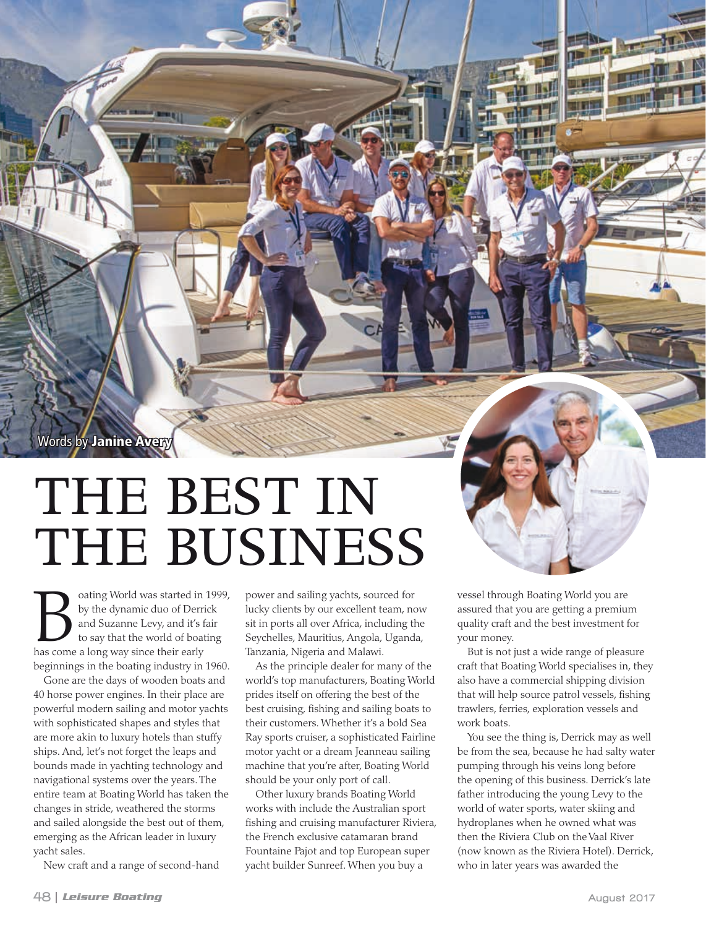Words by Janine Avery

## THE BEST IN THE BUSINESS

**Bo** cating World was started in 1999, by the dynamic duo of Derrick and Suzanne Levy, and it's fair to say that the world of boating has come a long way since their early by the dynamic duo of Derrick and Suzanne Levy, and it's fair to say that the world of boating beginnings in the boating industry in 1960.

Gone are the days of wooden boats and 40 horse power engines. In their place are powerful modern sailing and motor yachts with sophisticated shapes and styles that are more akin to luxury hotels than stuffy ships. And, let's not forget the leaps and bounds made in yachting technology and navigational systems over the years. The entire team at Boating World has taken the changes in stride, weathered the storms and sailed alongside the best out of them, emerging as the African leader in luxury yacht sales.

New craft and a range of second-hand

power and sailing yachts, sourced for lucky clients by our excellent team, now sit in ports all over Africa, including the Seychelles, Mauritius, Angola, Uganda, Tanzania, Nigeria and Malawi.

As the principle dealer for many of the world's top manufacturers, Boating World prides itself on offering the best of the best cruising, fishing and sailing boats to their customers. Whether it's a bold Sea Ray sports cruiser, a sophisticated Fairline motor yacht or a dream Jeanneau sailing machine that you're after, Boating World should be your only port of call.

Other luxury brands Boating World works with include the Australian sport fishing and cruising manufacturer Riviera, the French exclusive catamaran brand Fountaine Pajot and top European super yacht builder Sunreef. When you buy a

vessel through Boating World you are assured that you are getting a premium quality craft and the best investment for your money.

But is not just a wide range of pleasure craft that Boating World specialises in, they also have a commercial shipping division that will help source patrol vessels, fishing trawlers, ferries, exploration vessels and work boats.

You see the thing is, Derrick may as well be from the sea, because he had salty water pumping through his veins long before the opening of this business. Derrick's late father introducing the young Levy to the world of water sports, water skiing and hydroplanes when he owned what was then the Riviera Club on the Vaal River (now known as the Riviera Hotel). Derrick, who in later years was awarded the